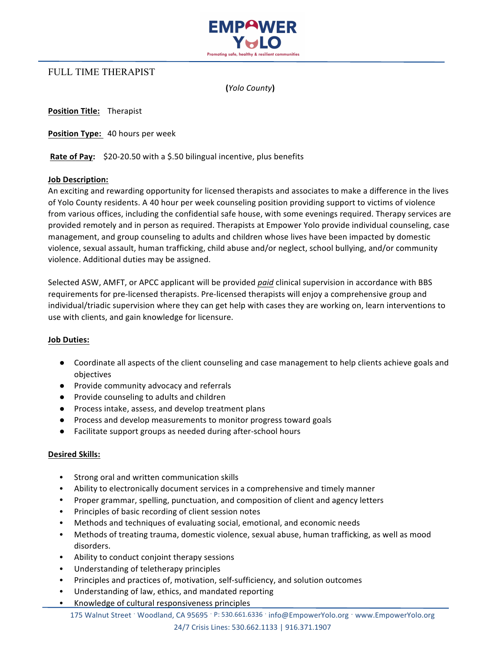

# FULL TIME THERAPIST

**(***Yolo County***)**

**Position Title: Therapist** 

**Position Type:** 40 hours per week

**Rate of Pay:** \$20-20.50 with a \$.50 bilingual incentive, plus benefits

### **Job Description:**

An exciting and rewarding opportunity for licensed therapists and associates to make a difference in the lives of Yolo County residents. A 40 hour per week counseling position providing support to victims of violence from various offices, including the confidential safe house, with some evenings required. Therapy services are provided remotely and in person as required. Therapists at Empower Yolo provide individual counseling, case management, and group counseling to adults and children whose lives have been impacted by domestic violence, sexual assault, human trafficking, child abuse and/or neglect, school bullying, and/or community violence. Additional duties may be assigned.

Selected ASW, AMFT, or APCC applicant will be provided *paid* clinical supervision in accordance with BBS requirements for pre-licensed therapists. Pre-licensed therapists will enjoy a comprehensive group and individual/triadic supervision where they can get help with cases they are working on, learn interventions to use with clients, and gain knowledge for licensure.

#### **Job Duties:**

- Coordinate all aspects of the client counseling and case management to help clients achieve goals and objectives
- Provide community advocacy and referrals
- Provide counseling to adults and children
- Process intake, assess, and develop treatment plans
- Process and develop measurements to monitor progress toward goals
- Facilitate support groups as needed during after-school hours

## **Desired Skills:**

- Strong oral and written communication skills
- Ability to electronically document services in a comprehensive and timely manner
- Proper grammar, spelling, punctuation, and composition of client and agency letters
- Principles of basic recording of client session notes
- Methods and techniques of evaluating social, emotional, and economic needs
- Methods of treating trauma, domestic violence, sexual abuse, human trafficking, as well as mood disorders.
- Ability to conduct conjoint therapy sessions
- Understanding of teletherapy principles
- Principles and practices of, motivation, self-sufficiency, and solution outcomes
- Understanding of law, ethics, and mandated reporting
- Knowledge of cultural responsiveness principles